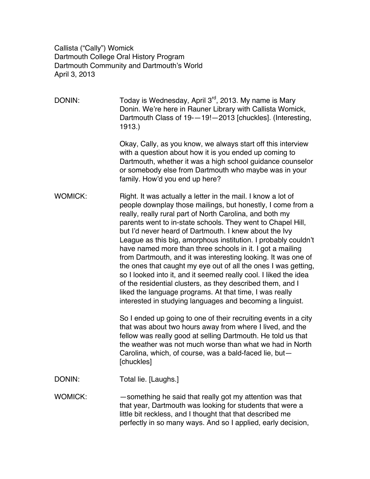Callista ("Cally") Womick Dartmouth College Oral History Program Dartmouth Community and Dartmouth's World April 3, 2013

DONIN: Today is Wednesday, April  $3<sup>rd</sup>$ , 2013. My name is Mary Donin. We're here in Rauner Library with Callista Womick, Dartmouth Class of 19-—19!—2013 [chuckles]. (Interesting, 1913.)

> Okay, Cally, as you know, we always start off this interview with a question about how it is you ended up coming to Dartmouth, whether it was a high school guidance counselor or somebody else from Dartmouth who maybe was in your family. How'd you end up here?

WOMICK: Right. It was actually a letter in the mail. I know a lot of people downplay those mailings, but honestly, I come from a really, really rural part of North Carolina, and both my parents went to in-state schools. They went to Chapel Hill, but I'd never heard of Dartmouth. I knew about the Ivy League as this big, amorphous institution. I probably couldn't have named more than three schools in it. I got a mailing from Dartmouth, and it was interesting looking. It was one of the ones that caught my eye out of all the ones I was getting, so I looked into it, and it seemed really cool. I liked the idea of the residential clusters, as they described them, and I liked the language programs. At that time, I was really interested in studying languages and becoming a linguist.

> So I ended up going to one of their recruiting events in a city that was about two hours away from where I lived, and the fellow was really good at selling Dartmouth. He told us that the weather was not much worse than what we had in North Carolina, which, of course, was a bald-faced lie, but— [chuckles]

DONIN: Total lie. [Laughs.]

WOMICK: — — something he said that really got my attention was that that year, Dartmouth was looking for students that were a little bit reckless, and I thought that that described me perfectly in so many ways. And so I applied, early decision,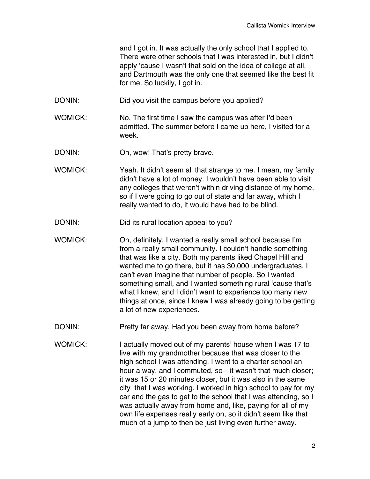and I got in. It was actually the only school that I applied to. There were other schools that I was interested in, but I didn't apply ʻcause I wasn't that sold on the idea of college at all, and Dartmouth was the only one that seemed like the best fit for me. So luckily, I got in.

- DONIN: Did you visit the campus before you applied?
- WOMICK: No. The first time I saw the campus was after I'd been admitted. The summer before I came up here, I visited for a week.
- DONIN: Oh, wow! That's pretty brave.
- WOMICK: Yeah. It didn't seem all that strange to me. I mean, my family didn't have a lot of money. I wouldn't have been able to visit any colleges that weren't within driving distance of my home, so if I were going to go out of state and far away, which I really wanted to do, it would have had to be blind.
- DONIN: Did its rural location appeal to you?
- WOMICK: Oh, definitely. I wanted a really small school because I'm from a really small community. I couldn't handle something that was like a city. Both my parents liked Chapel Hill and wanted me to go there, but it has 30,000 undergraduates. I can't even imagine that number of people. So I wanted something small, and I wanted something rural ʻcause that's what I knew, and I didn't want to experience too many new things at once, since I knew I was already going to be getting a lot of new experiences.
- DONIN: Pretty far away. Had you been away from home before?
- WOMICK: I actually moved out of my parents' house when I was 17 to live with my grandmother because that was closer to the high school I was attending. I went to a charter school an hour a way, and I commuted, so—it wasn't that much closer; it was 15 or 20 minutes closer, but it was also in the same city that I was working. I worked in high school to pay for my car and the gas to get to the school that I was attending, so I was actually away from home and, like, paying for all of my own life expenses really early on, so it didn't seem like that much of a jump to then be just living even further away.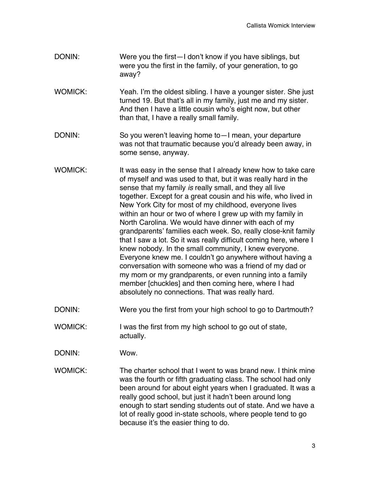- DONIN: Were you the first—I don't know if you have siblings, but were you the first in the family, of your generation, to go away?
- WOMICK: Yeah. I'm the oldest sibling. I have a younger sister. She just turned 19. But that's all in my family, just me and my sister. And then I have a little cousin who's eight now, but other than that, I have a really small family.
- DONIN: So you weren't leaving home to—I mean, your departure was not that traumatic because you'd already been away, in some sense, anyway.
- WOMICK: It was easy in the sense that I already knew how to take care of myself and was used to that, but it was really hard in the sense that my family *is* really small, and they all live together. Except for a great cousin and his wife, who lived in New York City for most of my childhood, everyone lives within an hour or two of where I grew up with my family in North Carolina. We would have dinner with each of my grandparents' families each week. So, really close-knit family that I saw a lot. So it was really difficult coming here, where I knew nobody. In the small community, I knew everyone. Everyone knew me. I couldn't go anywhere without having a conversation with someone who was a friend of my dad or my mom or my grandparents, or even running into a family member [chuckles] and then coming here, where I had absolutely no connections. That was really hard.
- DONIN: Were you the first from your high school to go to Dartmouth?
- WOMICK: I was the first from my high school to go out of state, actually.
- DONIN: Wow.
- WOMICK: The charter school that I went to was brand new. I think mine was the fourth or fifth graduating class. The school had only been around for about eight years when I graduated. It was a really good school, but just it hadn't been around long enough to start sending students out of state. And we have a lot of really good in-state schools, where people tend to go because it's the easier thing to do.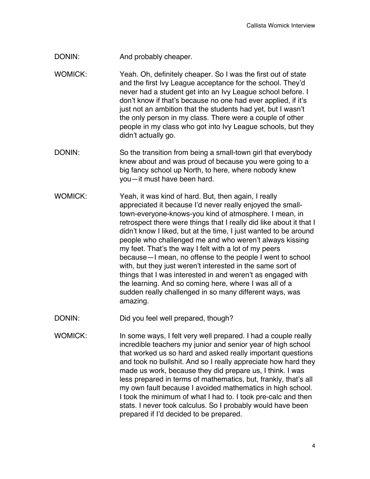- DONIN: And probably cheaper.
- WOMICK: Yeah. Oh, definitely cheaper. So I was the first out of state and the first Ivy League acceptance for the school. They'd never had a student get into an Ivy League school before. I don't know if that's because no one had ever applied, if it's just not an ambition that the students had yet, but I wasn't the only person in my class. There were a couple of other people in my class who got into Ivy League schools, but they didn't actually go.
- DONIN: So the transition from being a small-town girl that everybody knew about and was proud of because you were going to a big fancy school up North, to here, where nobody knew you—it must have been hard.
- WOMICK: Yeah, it was kind of hard. But, then again, I really appreciated it because I'd never really enjoyed the smalltown-everyone-knows-you kind of atmosphere. I mean, in retrospect there were things that I really did like about it that I didn't know I liked, but at the time, I just wanted to be around people who challenged me and who weren't always kissing my feet. That's the way I felt with a lot of my peers because—I mean, no offense to the people I went to school with, but they just weren't interested in the same sort of things that I was interested in and weren't as engaged with the learning. And so coming here, where I was all of a sudden really challenged in so many different ways, was amazing.
- DONIN: Did you feel well prepared, though?
- WOMICK: In some ways, I felt very well prepared. I had a couple really incredible teachers my junior and senior year of high school that worked us so hard and asked really important questions and took no bullshit. And so I really appreciate how hard they made us work, because they did prepare us, I think. I was less prepared in terms of mathematics, but, frankly, that's all my own fault because I avoided mathematics in high school. I took the minimum of what I had to. I took pre-calc and then stats. I never took calculus. So I probably would have been prepared if I'd decided to be prepared.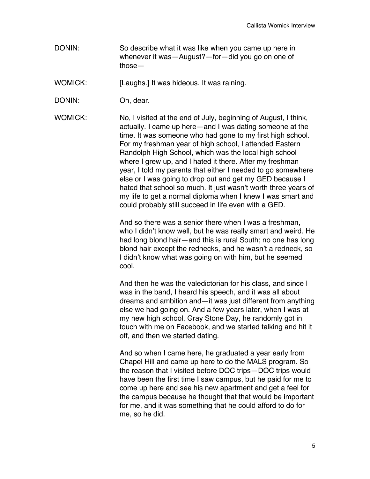DONIN: So describe what it was like when you came up here in whenever it was—August?—for—did you go on one of those—

WOMICK: [Laughs.] It was hideous. It was raining.

DONIN: Oh, dear.

WOMICK: No, I visited at the end of July, beginning of August, I think, actually. I came up here—and I was dating someone at the time. It was someone who had gone to my first high school. For my freshman year of high school, I attended Eastern Randolph High School, which was the local high school where I grew up, and I hated it there. After my freshman year, I told my parents that either I needed to go somewhere else or I was going to drop out and get my GED because I hated that school so much. It just wasn't worth three years of my life to get a normal diploma when I knew I was smart and could probably still succeed in life even with a GED.

> And so there was a senior there when I was a freshman, who I didn't know well, but he was really smart and weird. He had long blond hair—and this is rural South; no one has long blond hair except the rednecks, and he wasn't a redneck, so I didn't know what was going on with him, but he seemed cool.

> And then he was the valedictorian for his class, and since I was in the band, I heard his speech, and it was all about dreams and ambition and—it was just different from anything else we had going on. And a few years later, when I was at my new high school, Gray Stone Day, he randomly got in touch with me on Facebook, and we started talking and hit it off, and then we started dating.

> And so when I came here, he graduated a year early from Chapel Hill and came up here to do the MALS program. So the reason that I visited before DOC trips—DOC trips would have been the first time I saw campus, but he paid for me to come up here and see his new apartment and get a feel for the campus because he thought that that would be important for me, and it was something that he could afford to do for me, so he did.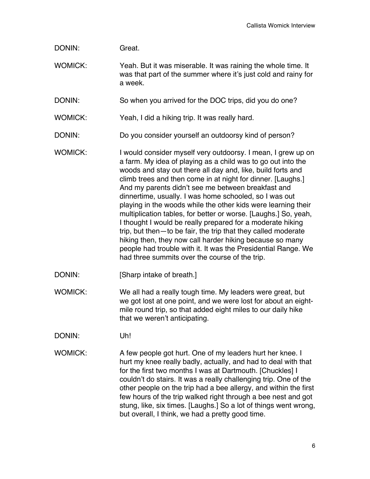| DONIN: | Great. |
|--------|--------|
|        |        |

WOMICK: Yeah. But it was miserable. It was raining the whole time. It was that part of the summer where it's just cold and rainy for a week.

DONIN: So when you arrived for the DOC trips, did you do one?

- WOMICK: Yeah, I did a hiking trip. It was really hard.
- DONIN: Do you consider yourself an outdoorsy kind of person?
- WOMICK: I would consider myself very outdoorsy. I mean, I grew up on a farm. My idea of playing as a child was to go out into the woods and stay out there all day and, like, build forts and climb trees and then come in at night for dinner. [Laughs.] And my parents didn't see me between breakfast and dinnertime, usually. I was home schooled, so I was out playing in the woods while the other kids were learning their multiplication tables, for better or worse. [Laughs.] So, yeah, I thought I would be really prepared for a moderate hiking trip, but then—to be fair, the trip that they called moderate hiking then, they now call harder hiking because so many people had trouble with it. It was the Presidential Range. We had three summits over the course of the trip.
- DONIN: [Sharp intake of breath.]
- WOMICK: We all had a really tough time. My leaders were great, but we got lost at one point, and we were lost for about an eightmile round trip, so that added eight miles to our daily hike that we weren't anticipating.
- DONIN: Uh!
- WOMICK: A few people got hurt. One of my leaders hurt her knee. I hurt my knee really badly, actually, and had to deal with that for the first two months I was at Dartmouth. [Chuckles] I couldn't do stairs. It was a really challenging trip. One of the other people on the trip had a bee allergy, and within the first few hours of the trip walked right through a bee nest and got stung, like, six times. [Laughs.] So a lot of things went wrong, but overall, I think, we had a pretty good time.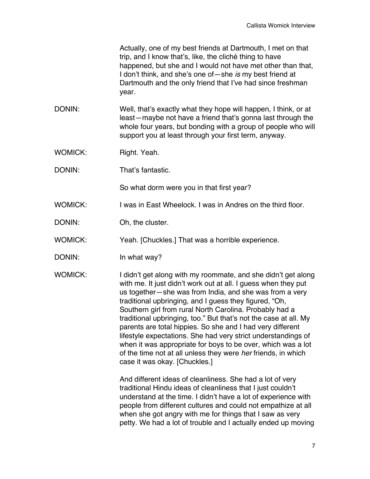Actually, one of my best friends at Dartmouth, I met on that trip, and I know that's, like, the cliché thing to have happened, but she and I would not have met other than that, I don't think, and she's one of—she *is* my best friend at Dartmouth and the only friend that I've had since freshman year.

DONIN: Well, that's exactly what they hope will happen, I think, or at least—maybe not have a friend that's gonna last through the whole four years, but bonding with a group of people who will support you at least through your first term, anyway.

WOMICK: Right. Yeah.

DONIN: That's fantastic.

So what dorm were you in that first year?

WOMICK: I was in East Wheelock. I was in Andres on the third floor.

DONIN: Oh, the cluster.

WOMICK: Yeah. [Chuckles.] That was a horrible experience.

DONIN: In what way?

WOMICK: I didn't get along with my roommate, and she didn't get along with me. It just didn't work out at all. I guess when they put us together—she was from India, and she was from a very traditional upbringing, and I guess they figured, "Oh, Southern girl from rural North Carolina. Probably had a traditional upbringing, too." But that's not the case at all. My parents are total hippies. So she and I had very different lifestyle expectations. She had very strict understandings of when it was appropriate for boys to be over, which was a lot of the time not at all unless they were *her* friends, in which case it was okay. [Chuckles.]

> And different ideas of cleanliness. She had a lot of very traditional Hindu ideas of cleanliness that I just couldn't understand at the time. I didn't have a lot of experience with people from different cultures and could not empathize at all when she got angry with me for things that I saw as very petty. We had a lot of trouble and I actually ended up moving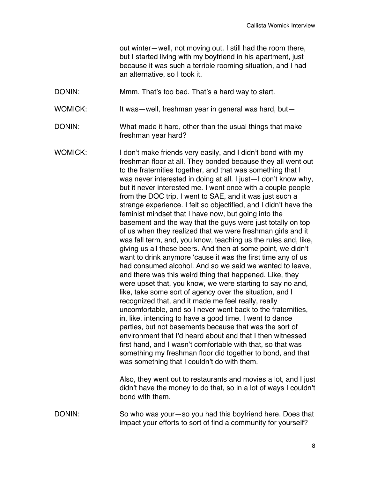out winter—well, not moving out. I still had the room there, but I started living with my boyfriend in his apartment, just because it was such a terrible rooming situation, and I had an alternative, so I took it.

DONIN: Mmm. That's too bad. That's a hard way to start.

WOMICK: It was—well, freshman year in general was hard, but—

- DONIN: What made it hard, other than the usual things that make freshman year hard?
- WOMICK: I don't make friends very easily, and I didn't bond with my freshman floor at all. They bonded because they all went out to the fraternities together, and that was something that I was never interested in doing at all. I just—I don't know why, but it never interested me. I went once with a couple people from the DOC trip. I went to SAE, and it was just such a strange experience. I felt so objectified, and I didn't have the feminist mindset that I have now, but going into the basement and the way that the guys were just totally on top of us when they realized that we were freshman girls and it was fall term, and, you know, teaching us the rules and, like, giving us all these beers. And then at some point, we didn't want to drink anymore ʻcause it was the first time any of us had consumed alcohol. And so we said we wanted to leave, and there was this weird thing that happened. Like, they were upset that, you know, we were starting to say no and, like, take some sort of agency over the situation, and I recognized that, and it made me feel really, really uncomfortable, and so I never went back to the fraternities, in, like, intending to have a good time. I went to dance parties, but not basements because that was the sort of environment that I'd heard about and that I then witnessed first hand, and I wasn't comfortable with that, so that was something my freshman floor did together to bond, and that was something that I couldn't do with them.

Also, they went out to restaurants and movies a lot, and I just didn't have the money to do that, so in a lot of ways I couldn't bond with them.

DONIN: So who was your—so you had this boyfriend here. Does that impact your efforts to sort of find a community for yourself?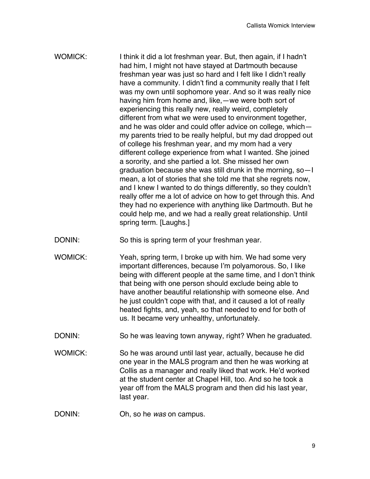- WOMICK: I think it did a lot freshman year. But, then again, if I hadn't had him, I might not have stayed at Dartmouth because freshman year was just so hard and I felt like I didn't really have a community. I didn't find a community really that I felt was my own until sophomore year. And so it was really nice having him from home and, like,—we were both sort of experiencing this really new, really weird, completely different from what we were used to environment together, and he was older and could offer advice on college, which my parents tried to be really helpful, but my dad dropped out of college his freshman year, and my mom had a very different college experience from what I wanted. She joined a sorority, and she partied a lot. She missed her own graduation because she was still drunk in the morning, so—I mean, a lot of stories that she told me that she regrets now, and I knew I wanted to do things differently, so they couldn't really offer me a lot of advice on how to get through this. And they had no experience with anything like Dartmouth. But he could help me, and we had a really great relationship. Until spring term. [Laughs.]
- DONIN: So this is spring term of your freshman year.
- WOMICK: Yeah, spring term, I broke up with him. We had some very important differences, because I'm polyamorous. So, I like being with different people at the same time, and I don't think that being with one person should exclude being able to have another beautiful relationship with someone else. And he just couldn't cope with that, and it caused a lot of really heated fights, and, yeah, so that needed to end for both of us. It became very unhealthy, unfortunately.
- DONIN: So he was leaving town anyway, right? When he graduated.
- WOMICK: So he was around until last year, actually, because he did one year in the MALS program and then he was working at Collis as a manager and really liked that work. He'd worked at the student center at Chapel Hill, too. And so he took a year off from the MALS program and then did his last year, last year.
- DONIN: Oh, so he *was* on campus.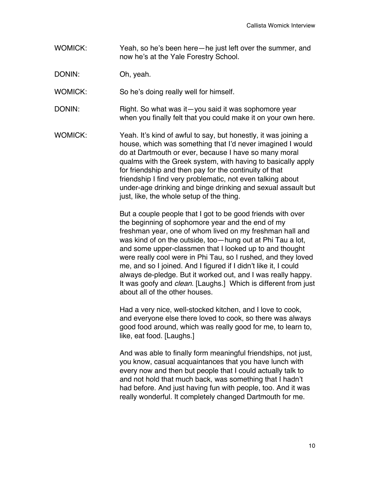WOMICK: Yeah, so he's been here—he just left over the summer, and now he's at the Yale Forestry School.

DONIN: Oh, yeah.

WOMICK: So he's doing really well for himself.

- DONIN: Right. So what was it—you said it was sophomore year when you finally felt that you could make it on your own here.
- WOMICK: Yeah. It's kind of awful to say, but honestly, it was joining a house, which was something that I'd never imagined I would do at Dartmouth or ever, because I have so many moral qualms with the Greek system, with having to basically apply for friendship and then pay for the continuity of that friendship I find very problematic, not even talking about under-age drinking and binge drinking and sexual assault but just, like, the whole setup of the thing.

But a couple people that I got to be good friends with over the beginning of sophomore year and the end of my freshman year, one of whom lived on my freshman hall and was kind of on the outside, too—hung out at Phi Tau a lot, and some upper-classmen that I looked up to and thought were really cool were in Phi Tau, so I rushed, and they loved me, and so I joined. And I figured if I didn't like it, I could always de-pledge. But it worked out, and I was really happy. It was goofy and *clean*. [Laughs.] Which is different from just about all of the other houses.

Had a very nice, well-stocked kitchen, and I love to cook, and everyone else there loved to cook, so there was always good food around, which was really good for me, to learn to, like, eat food. [Laughs.]

And was able to finally form meaningful friendships, not just, you know, casual acquaintances that you have lunch with every now and then but people that I could actually talk to and not hold that much back, was something that I hadn't had before. And just having fun with people, too. And it was really wonderful. It completely changed Dartmouth for me.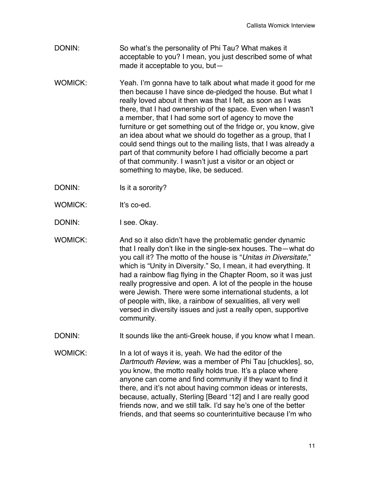- DONIN: So what's the personality of Phi Tau? What makes it acceptable to you? I mean, you just described some of what made it acceptable to you, but—
- WOMICK: Yeah. I'm gonna have to talk about what made it good for me then because I have since de-pledged the house. But what I really loved about it then was that I felt, as soon as I was there, that I had ownership of the space. Even when I wasn't a member, that I had some sort of agency to move the furniture or get something out of the fridge or, you know, give an idea about what we should do together as a group, that I could send things out to the mailing lists, that I was already a part of that community before I had officially become a part of that community. I wasn't just a visitor or an object or something to maybe, like, be seduced.
- DONIN: Is it a sorority?
- WOMICK: It's co-ed.
- DONIN: I see. Okay.
- WOMICK: And so it also didn't have the problematic gender dynamic that I really don't like in the single-sex houses. The—what do you call it? The motto of the house is "*Unitas in Diversitate*," which is "Unity in Diversity." So, I mean, it had everything. It had a rainbow flag flying in the Chapter Room, so it was just really progressive and open. A lot of the people in the house were Jewish. There were some international students, a lot of people with, like, a rainbow of sexualities, all very well versed in diversity issues and just a really open, supportive community.
- DONIN: It sounds like the anti-Greek house, if you know what I mean.
- WOMICK: In a lot of ways it is, yeah. We had the editor of the *Dartmouth Review*, was a member of Phi Tau [chuckles], so, you know, the motto really holds true. It's a place where anyone can come and find community if they want to find it there, and it's not about having common ideas or interests, because, actually, Sterling [Beard ʻ12] and I are really good friends now, and we still talk. I'd say he's one of the better friends, and that seems so counterintuitive because I'm who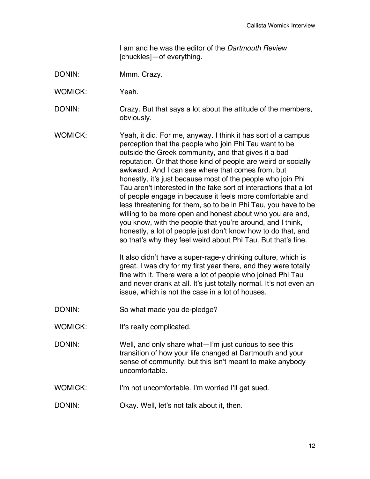I am and he was the editor of the *Dartmouth Review* [chuckles]—of everything.

- DONIN: Mmm. Crazy.
- WOMICK: Yeah.
- DONIN: Crazy. But that says a lot about the attitude of the members, obviously.
- WOMICK: Yeah, it did. For me, anyway. I think it has sort of a campus perception that the people who join Phi Tau want to be outside the Greek community, and that gives it a bad reputation. Or that those kind of people are weird or socially awkward. And I can see where that comes from, but honestly, it's just because most of the people who join Phi Tau aren't interested in the fake sort of interactions that a lot of people engage in because it feels more comfortable and less threatening for them, so to be in Phi Tau, you have to be willing to be more open and honest about who you are and, you know, with the people that you're around, and I think, honestly, a lot of people just don't know how to do that, and so that's why they feel weird about Phi Tau. But that's fine.

It also didn't have a super-rage-y drinking culture, which is great. I was dry for my first year there, and they were totally fine with it. There were a lot of people who joined Phi Tau and never drank at all. It's just totally normal. It's not even an issue, which is not the case in a lot of houses.

- DONIN: So what made you de-pledge?
- WOMICK: It's really complicated.
- DONIN: Well, and only share what—I'm just curious to see this transition of how your life changed at Dartmouth and your sense of community, but this isn't meant to make anybody uncomfortable.
- WOMICK: I'm not uncomfortable. I'm worried I'll get sued.
- DONIN: Okay. Well, let's not talk about it, then.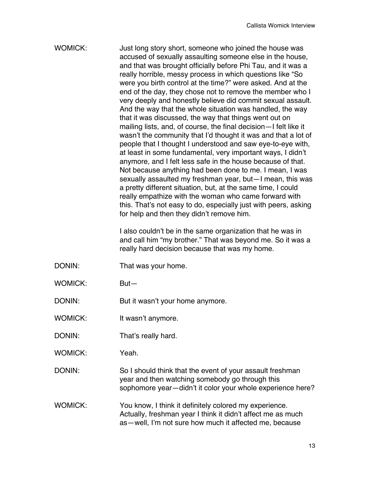## WOMICK: Just long story short, someone who joined the house was accused of sexually assaulting someone else in the house, and that was brought officially before Phi Tau, and it was a really horrible, messy process in which questions like "So were you birth control at the time?" were asked. And at the end of the day, they chose not to remove the member who I very deeply and honestly believe did commit sexual assault. And the way that the whole situation was handled, the way that it was discussed, the way that things went out on mailing lists, and, of course, the final decision—I felt like it wasn't the community that I'd thought it was and that a lot of people that I thought I understood and saw eye-to-eye with, at least in some fundamental, very important ways, I didn't anymore, and I felt less safe in the house because of that. Not because anything had been done to me. I mean, I was sexually assaulted my freshman year, but—I mean, this was a pretty different situation, but, at the same time, I could really empathize with the woman who came forward with this. That's not easy to do, especially just with peers, asking for help and then they didn't remove him.

I also couldn't be in the same organization that he was in and call him "my brother." That was beyond me. So it was a really hard decision because that was my home.

- DONIN: That was your home.
- WOMICK: But—

DONIN: But it wasn't your home anymore.

- WOMICK: It wasn't anymore.
- DONIN: That's really hard.
- WOMICK: Yeah.

DONIN: So I should think that the event of your assault freshman year and then watching somebody go through this sophomore year—didn't it color your whole experience here?

WOMICK: You know, I think it definitely colored my experience. Actually, freshman year I think it didn't affect me as much as—well, I'm not sure how much it affected me, because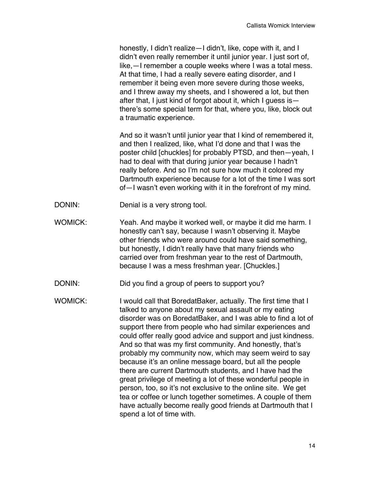| honestly, I didn't realize - I didn't, like, cope with it, and I  |
|-------------------------------------------------------------------|
| didn't even really remember it until junior year. I just sort of, |
| like, — I remember a couple weeks where I was a total mess.       |
| At that time, I had a really severe eating disorder, and I        |
| remember it being even more severe during those weeks,            |
| and I threw away my sheets, and I showered a lot, but then        |
| after that, I just kind of forgot about it, which I guess is -    |
| there's some special term for that, where you, like, block out    |
| a traumatic experience.                                           |

And so it wasn't until junior year that I kind of remembered it, and then I realized, like, what I'd done and that I was the poster child [chuckles] for probably PTSD, and then—yeah, I had to deal with that during junior year because I hadn't really before. And so I'm not sure how much it colored my Dartmouth experience because for a lot of the time I was sort of—I wasn't even working with it in the forefront of my mind.

- DONIN: Denial is a very strong tool.
- WOMICK: Yeah. And maybe it worked well, or maybe it did me harm. I honestly can't say, because I wasn't observing it. Maybe other friends who were around could have said something, but honestly, I didn't really have that many friends who carried over from freshman year to the rest of Dartmouth, because I was a mess freshman year. [Chuckles.]
- DONIN: Did you find a group of peers to support you?

WOMICK: I would call that BoredatBaker, actually. The first time that I talked to anyone about my sexual assault or my eating disorder was on BoredatBaker, and I was able to find a lot of support there from people who had similar experiences and could offer really good advice and support and just kindness. And so that was my first community. And honestly, that's probably my community now, which may seem weird to say because it's an online message board, but all the people there are current Dartmouth students, and I have had the great privilege of meeting a lot of these wonderful people in person, too, so it's not exclusive to the online site. We get tea or coffee or lunch together sometimes. A couple of them have actually become really good friends at Dartmouth that I spend a lot of time with.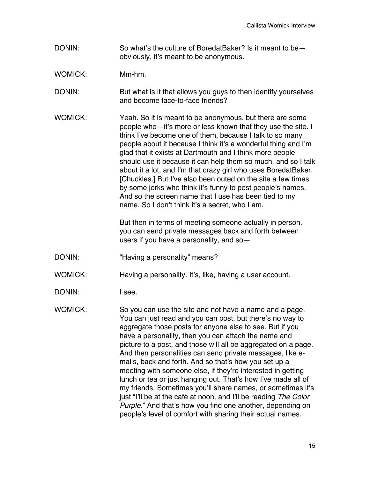- DONIN: So what's the culture of BoredatBaker? Is it meant to be obviously, it's meant to be anonymous.
- WOMICK: Mm-hm.

DONIN: But what is it that allows you guys to then identify yourselves and become face-to-face friends?

WOMICK: Yeah. So it is meant to be anonymous, but there are some people who—it's more or less known that they use the site. I think I've become one of them, because I talk to so many people about it because I think it's a wonderful thing and I'm glad that it exists at Dartmouth and I think more people should use it because it can help them so much, and so I talk about it a lot, and I'm that crazy girl who uses BoredatBaker. [Chuckles.] But I've also been outed on the site a few times by some jerks who think it's funny to post people's names. And so the screen name that I use has been tied to my name. So I don't think it's a secret, who I am.

> But then in terms of meeting someone actually in person, you can send private messages back and forth between users if you have a personality, and so—

DONIN: "Having a personality" means?

WOMICK: Having a personality. It's, like, having a user account.

- DONIN: I see.
- WOMICK: So you can use the site and not have a name and a page. You can just read and you can post, but there's no way to aggregate those posts for anyone else to see. But if you have a personality, then you can attach the name and picture to a post, and those will all be aggregated on a page. And then personalities can send private messages, like emails, back and forth. And so that's how you set up a meeting with someone else, if they're interested in getting lunch or tea or just hanging out. That's how I've made all of my friends. Sometimes you'll share names, or sometimes it's just "I'll be at the café at noon, and I'll be reading *The Color Purple*." And that's how you find one another, depending on people's level of comfort with sharing their actual names.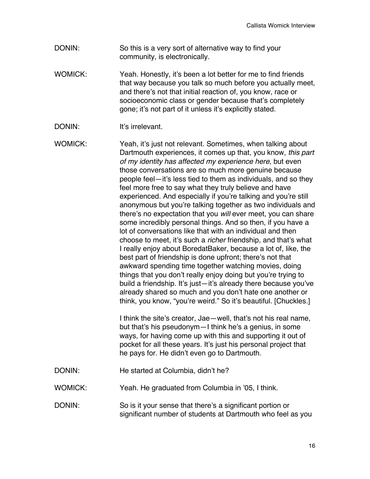- DONIN: So this is a very sort of alternative way to find your community, is electronically.
- WOMICK: Yeah. Honestly, it's been a lot better for me to find friends that way because you talk so much before you actually meet, and there's not that initial reaction of, you know, race or socioeconomic class or gender because that's completely gone; it's not part of it unless it's explicitly stated.
- DONIN: It's irrelevant.

WOMICK: Yeah, it's just not relevant. Sometimes, when talking about Dartmouth experiences, it comes up that, you know, *this part of my identity has affected my experience here*, but even those conversations are so much more genuine because people feel—it's less tied to them as individuals, and so they feel more free to say what they truly believe and have experienced. And especially if you're talking and you're still anonymous but you're talking together as two individuals and there's no expectation that you *will* ever meet, you can share some incredibly personal things. And so then, if you have a lot of conversations like that with an individual and then choose to meet, it's such a *richer* friendship, and that's what I really enjoy about BoredatBaker, because a lot of, like, the best part of friendship is done upfront; there's not that awkward spending time together watching movies, doing things that you don't really enjoy doing but you're trying to build a friendship. It's just—it's already there because you've already shared so much and you don't hate one another or think, you know, "you're weird." So it's beautiful. [Chuckles.]

> I think the site's creator, Jae—well, that's not his real name, but that's his pseudonym—I think he's a genius, in some ways, for having come up with this and supporting it out of pocket for all these years. It's just his personal project that he pays for. He didn't even go to Dartmouth.

- DONIN: He started at Columbia, didn't he?
- WOMICK: Yeah. He graduated from Columbia in '05, I think.
- DONIN: So is it your sense that there's a significant portion or significant number of students at Dartmouth who feel as you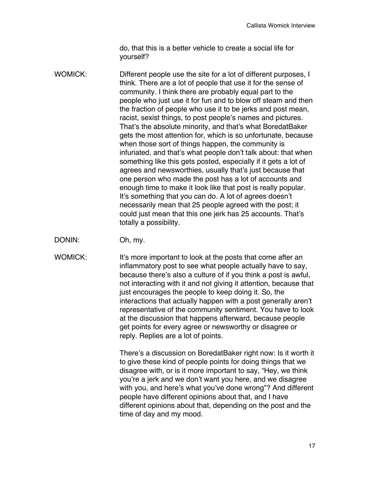do, that this is a better vehicle to create a social life for yourself?

- WOMICK: Different people use the site for a lot of different purposes, I think. There are a lot of people that use it for the sense of community. I think there are probably equal part to the people who just use it for fun and to blow off steam and then the fraction of people who use it to be jerks and post mean, racist, sexist things, to post people's names and pictures. That's the absolute minority, and that's what BoredatBaker gets the most attention for, which is so unfortunate, because when those sort of things happen, the community is infuriated, and that's what people don't talk about: that when something like this gets posted, especially if it gets a lot of agrees and newsworthies, usually that's just because that one person who made the post has a lot of accounts and enough time to make it look like that post is really popular. It's something that you can do. A lot of agrees doesn't necessarily mean that 25 people agreed with the post; it could just mean that this one jerk has 25 accounts. That's totally a possibility.
- DONIN: Oh, my.
- WOMICK: It's more important to look at the posts that come after an inflammatory post to see what people actually have to say, because there's also a culture of if you think a post is awful, not interacting with it and not giving it attention, because that just encourages the people to keep doing it. So, the interactions that actually happen with a post generally aren't representative of the community sentiment. You have to look at the discussion that happens afterward, because people get points for every agree or newsworthy or disagree or reply. Replies are a lot of points.

There's a discussion on BoredatBaker right now: Is it worth it to give these kind of people points for doing things that we disagree with, or is it more important to say, "Hey, we think you're a jerk and we don't want you here, and we disagree with you, and here's what you've done wrong"? And different people have different opinions about that, and I have different opinions about that, depending on the post and the time of day and my mood.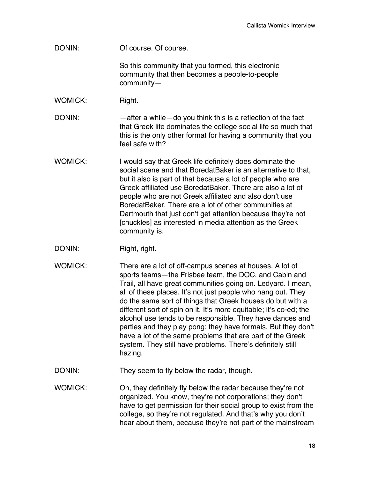DONIN: Of course. Of course.

So this community that you formed, this electronic community that then becomes a people-to-people community—

WOMICK: Right.

DONIN: — —after a while—do you think this is a reflection of the fact that Greek life dominates the college social life so much that this is the only other format for having a community that you feel safe with?

- WOMICK: I would say that Greek life definitely does dominate the social scene and that BoredatBaker is an alternative to that, but it also is part of that because a lot of people who are Greek affiliated use BoredatBaker. There are also a lot of people who are not Greek affiliated and also don't use BoredatBaker. There are a lot of other communities at Dartmouth that just don't get attention because they're not [chuckles] as interested in media attention as the Greek community is.
- DONIN: Right, right.
- WOMICK: There are a lot of off-campus scenes at houses. A lot of sports teams—the Frisbee team, the DOC, and Cabin and Trail, all have great communities going on. Ledyard. I mean, all of these places. It's not just people who hang out. They do the same sort of things that Greek houses do but with a different sort of spin on it. It's more equitable; it's co-ed; the alcohol use tends to be responsible. They have dances and parties and they play pong; they have formals. But they don't have a lot of the same problems that are part of the Greek system. They still have problems. There's definitely still hazing.
- DONIN: They seem to fly below the radar, though.
- WOMICK: Oh, they definitely fly below the radar because they're not organized. You know, they're not corporations; they don't have to get permission for their social group to exist from the college, so they're not regulated. And that's why you don't hear about them, because they're not part of the mainstream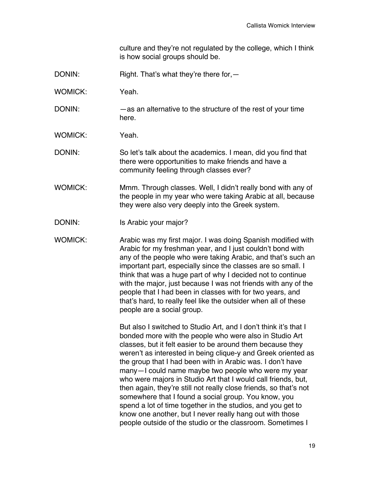culture and they're not regulated by the college, which I think is how social groups should be.

- DONIN: Right. That's what they're there for, —
- WOMICK: Yeah.
- DONIN: —as an alternative to the structure of the rest of your time here.
- WOMICK: Yeah.
- DONIN: So let's talk about the academics. I mean, did you find that there were opportunities to make friends and have a community feeling through classes ever?
- WOMICK: Mmm. Through classes. Well, I didn't really bond with any of the people in my year who were taking Arabic at all, because they were also very deeply into the Greek system.
- DONIN: Is Arabic your major?
- WOMICK: Arabic was my first major. I was doing Spanish modified with Arabic for my freshman year, and I just couldn't bond with any of the people who were taking Arabic, and that's such an important part, especially since the classes are so small. I think that was a huge part of why I decided not to continue with the major, just because I was not friends with any of the people that I had been in classes with for two years, and that's hard, to really feel like the outsider when all of these people are a social group.

But also I switched to Studio Art, and I don't think it's that I bonded more with the people who were also in Studio Art classes, but it felt easier to be around them because they weren't as interested in being clique-y and Greek oriented as the group that I had been with in Arabic was. I don't have many—I could name maybe two people who were my year who were majors in Studio Art that I would call friends, but, then again, they're still not really close friends, so that's not somewhere that I found a social group. You know, you spend a lot of time together in the studios, and you get to know one another, but I never really hang out with those people outside of the studio or the classroom. Sometimes I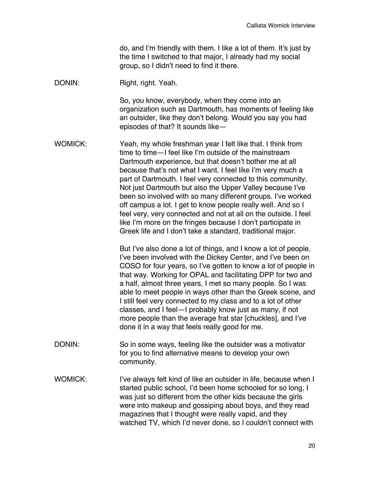do, and I'm friendly with them. I like a lot of them. It's just by the time I switched to that major, I already had my social group, so I didn't need to find it there.

DONIN: Right, right. Yeah.

So, you know, everybody, when they come into an organization such as Dartmouth, has moments of feeling like an outsider, like they don't belong. Would you say you had episodes of that? It sounds like—

WOMICK: Yeah, my whole freshman year I felt like that. I think from time to time—I feel like I'm outside of the mainstream Dartmouth experience, but that doesn't bother me at all because that's not what I want. I feel like I'm very much a part of Dartmouth. I feel very connected to this community. Not just Dartmouth but also the Upper Valley because I've been so involved with so many different groups. I've worked off campus a lot. I get to know people really well. And so I feel very, very connected and not at all on the outside. I feel like I'm more on the fringes because I don't participate in Greek life and I don't take a standard, traditional major.

> But I've also done a lot of things, and I know a lot of people. I've been involved with the Dickey Center, and I've been on COSO for four years, so I've gotten to know a lot of people in that way. Working for OPAL and facilitating DPP for two and a half, almost three years, I met so many people. So I was able to meet people in ways other than the Greek scene, and I still feel very connected to my class and to a lot of other classes, and I feel—I probably know just as many, if not more people than the average frat star [chuckles], and I've done it in a way that feels really good for me.

- DONIN: So in some ways, feeling like the outsider was a motivator for you to find alternative means to develop your own community.
- WOMICK: I've always felt kind of like an outsider in life, because when I started public school, I'd been home schooled for so long, I was just so different from the other kids because the girls were into makeup and gossiping about boys, and they read magazines that I thought were really vapid, and they watched TV, which I'd never done, so I couldn't connect with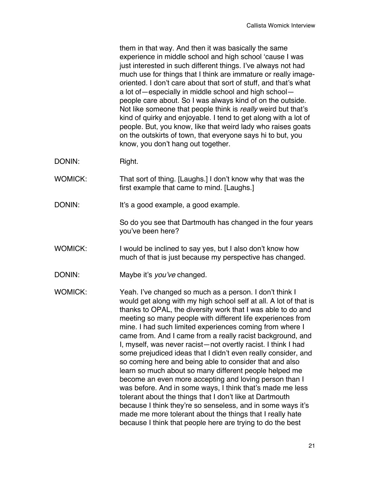them in that way. And then it was basically the same experience in middle school and high school ʻcause I was just interested in such different things. I've always not had much use for things that I think are immature or really imageoriented. I don't care about that sort of stuff, and that's what a lot of—especially in middle school and high school people care about. So I was always kind of on the outside. Not like someone that people think is *really* weird but that's kind of quirky and enjoyable. I tend to get along with a lot of people. But, you know, like that weird lady who raises goats on the outskirts of town, that everyone says hi to but, you know, you don't hang out together.

- DONIN: Right.
- WOMICK: That sort of thing. [Laughs.] I don't know why that was the first example that came to mind. [Laughs.]
- DONIN: It's a good example, a good example.

So do you see that Dartmouth has changed in the four years you've been here?

- WOMICK: I would be inclined to say yes, but I also don't know how much of that is just because my perspective has changed.
- DONIN: Maybe it's *you*'*ve* changed.

WOMICK: Yeah. I've changed so much as a person. I don't think I would get along with my high school self at all. A lot of that is thanks to OPAL, the diversity work that I was able to do and meeting so many people with different life experiences from mine. I had such limited experiences coming from where I came from. And I came from a really racist background, and I, myself, was never racist—not overtly racist. I think I had some prejudiced ideas that I didn't even really consider, and so coming here and being able to consider that and also learn so much about so many different people helped me become an even more accepting and loving person than I was before. And in some ways, I think that's made me less tolerant about the things that I don't like at Dartmouth because I think they're so senseless, and in some ways it's made me more tolerant about the things that I really hate because I think that people here are trying to do the best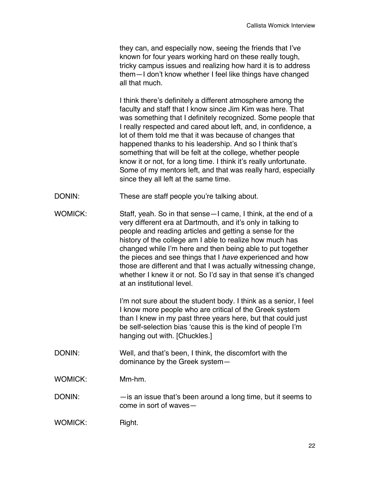they can, and especially now, seeing the friends that I've known for four years working hard on these really tough, tricky campus issues and realizing how hard it is to address them—I don't know whether I feel like things have changed all that much.

I think there's definitely a different atmosphere among the faculty and staff that I know since Jim Kim was here. That was something that I definitely recognized. Some people that I really respected and cared about left, and, in confidence, a lot of them told me that it was because of changes that happened thanks to his leadership. And so I think that's something that will be felt at the college, whether people know it or not, for a long time. I think it's really unfortunate. Some of my mentors left, and that was really hard, especially since they all left at the same time.

- DONIN: These are staff people you're talking about.
- WOMICK: Staff, yeah. So in that sense-I came, I think, at the end of a very different era at Dartmouth, and it's only in talking to people and reading articles and getting a sense for the history of the college am I able to realize how much has changed while I'm here and then being able to put together the pieces and see things that I *have* experienced and how those are different and that I was actually witnessing change, whether I knew it or not. So I'd say in that sense it's changed at an institutional level.

I'm not sure about the student body. I think as a senior, I feel I know more people who are critical of the Greek system than I knew in my past three years here, but that could just be self-selection bias ʻcause this is the kind of people I'm hanging out with. [Chuckles.]

DONIN: Well, and that's been, I think, the discomfort with the dominance by the Greek system—

WOMICK: Mm-hm.

DONIN: —is an issue that's been around a long time, but it seems to come in sort of waves—

| <b>WOMICK:</b> | Right. |
|----------------|--------|
|----------------|--------|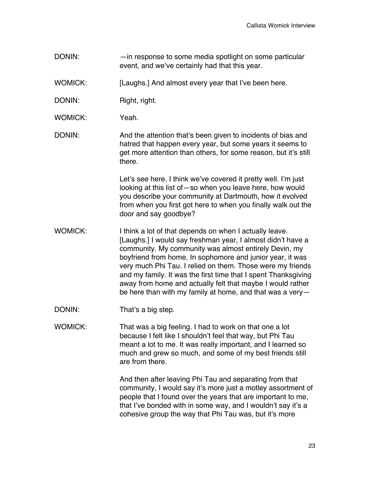DONIN: —in response to some media spotlight on some particular event, and we've certainly had that this year.

WOMICK: [Laughs.] And almost every year that I've been here.

- DONIN: Right, right.
- WOMICK: Yeah
- DONIN: And the attention that's been given to incidents of bias and hatred that happen every year, but some years it seems to get more attention than others, for some reason, but it's still there.

Let's see here. I think we've covered it pretty well. I'm just looking at this list of—so when you leave here, how would you describe your community at Dartmouth, how it evolved from when you first got here to when you finally walk out the door and say goodbye?

- WOMICK: I think a lot of that depends on when I actually leave. [Laughs.] I would say freshman year, I almost didn't have a community. My community was almost entirely Devin, my boyfriend from home. In sophomore and junior year, it was very much Phi Tau. I relied on them. Those were my friends and my family. It was the first time that I spent Thanksgiving away from home and actually felt that maybe I would rather be here than with my family at home, and that was a very—
- DONIN: That's a big step.
- WOMICK: That was a big feeling. I had to work on that one a lot because I felt like I shouldn't feel that way, but Phi Tau meant a lot to me. It was really important, and I learned so much and grew so much, and some of my best friends still are from there.

And then after leaving Phi Tau and separating from that community, I would say it's more just a motley assortment of people that I found over the years that are important to me, that I've bonded with in some way, and I wouldn't say it's a cohesive group the way that Phi Tau was, but it's more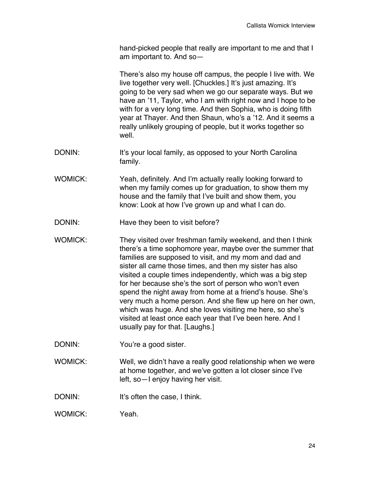hand-picked people that really are important to me and that I am important to. And so—

There's also my house off campus, the people I live with. We live together very well. [Chuckles.] It's just amazing. It's going to be very sad when we go our separate ways. But we have an '11, Taylor, who I am with right now and I hope to be with for a very long time. And then Sophia, who is doing fifth year at Thayer. And then Shaun, who's a '12. And it seems a really unlikely grouping of people, but it works together so well.

- DONIN: It's your local family, as opposed to your North Carolina family.
- WOMICK: Yeah, definitely. And I'm actually really looking forward to when my family comes up for graduation, to show them my house and the family that I've built and show them, you know: Look at how I've grown up and what I can do.
- DONIN: Have they been to visit before?
- WOMICK: They visited over freshman family weekend, and then I think there's a time sophomore year, maybe over the summer that families are supposed to visit, and my mom and dad and sister all came those times, and then my sister has also visited a couple times independently, which was a big step for her because she's the sort of person who won't even spend the night away from home at a friend's house. She's very much a home person. And she flew up here on her own, which was huge. And she loves visiting me here, so she's visited at least once each year that I've been here. And I usually pay for that. [Laughs.]
- DONIN: You're a good sister.
- WOMICK: Well, we didn't have a really good relationship when we were at home together, and we've gotten a lot closer since I've left, so—I enjoy having her visit.
- DONIN: It's often the case, I think.
- WOMICK: Yeah.